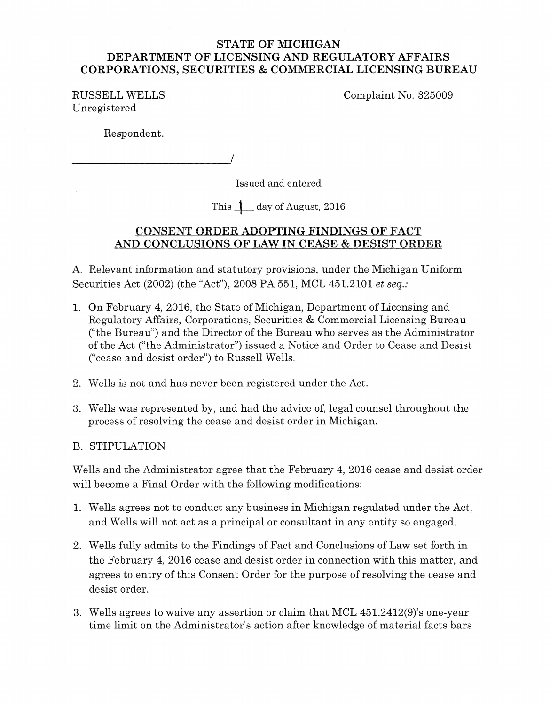## STATE OF MICHIGAN DEPARTMENT OF LICENSING AND REGULATORY AFFAIRS CORPORATIONS, SECURITIES & COMMERCIAL LICENSING BUREAU

RUSSELL WELLS Unregistered

Complaint No. 325009

Respondent.

------------------------~/

Issued and entered

This  $\downarrow$  day of August, 2016

# CONSENT ORDER ADOPTING FINDINGS OF FACT AND CONCLUSIONS OF LAW TN CEASE & DESIST ORDER

A. Relevant information and statutory provisions, under the Michigan Uniform Securities Act (2002) (the "Act"), 2008 PA 551, MCL 451.2101 *et seq.:* 

- 1. On February 4, 2016, the State of Michigan, Department of Licensing and Regulatory Mfairs, Corporations, Securities & Commercial Licensing Bureau ("the Bureau") and the Director of the Bureau who serves as the Administrator of the Act ("the Administrator") issued a Notice and Order to Cease and Desist ("cease and desist order") to Russell Wells.
- 2. Wells is not and has never been registered under the Act.
- 3. Wells was represented by, and had the advice of, legal counsel throughout the process of resolving the cease and desist order in Michigan.

# B. STIPULATION

Wells and the Administrator agree that the February 4, 2016 cease and desist order will become a Final Order with the following modifications:

- 1. Wells agrees not to conduct any business in Michigan regulated under the Act, and Wells will not act as a principal or consultant in any entity so engaged.
- 2. Wells fully admits to the Findings of Fact and Conclusions of Law set forth in the February 4, 2016 cease and desist order in connection with this matter, and agrees to entry of this Consent Order for the purpose of resolving the cease and desist order.
- 3. Wells agrees to waive any assertion or claim that MCL 451.2412(9)'s one-year time limit on the Administrator's action after knowledge of material facts bars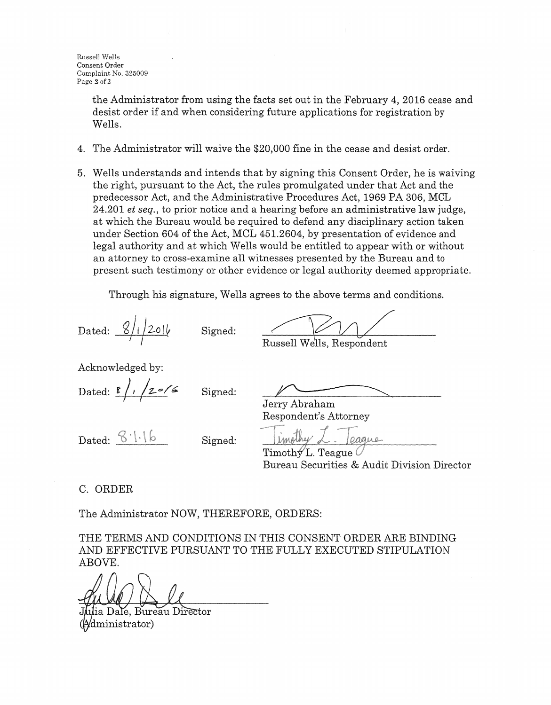the Administrator from using the facts set out in the February 4, 2016 cease and desist order if and when considering future applications for registration by Wells.

- 4. The Administrator will waive the \$20,000 fine in the cease and desist order.
- 5. Wells understands and intends that by signing this Consent Order, he is waiving the right, pursuant to the Act, the rules promulgated under that Act and the predecessor Act, and the Administrative Procedures Act, 1969 PA 306, MCL 24.201 *et seq.,* to prior notice and a hearing before an administrative law judge, at which the Bureau would be required to defend any disciplinary action taken under Section 604 of the Act, MCL 451.2604, by presentation of evidence and legal authority and at which Wells would be entitled to appear with or without an attorney to cross-examine all witnesses presented by the Bureau and to present such testimony or other evidence or legal authority deemed appropriate.

Through his signature, Wells agrees to the above terms and conditions.

Dated:  $\frac{8}{1201}$ 

Russell Wells, Respondent

Acknowledged by:

Dated: <u>r /, /z</u> = /6

Signed:

Signed:

Dated:  $8 \cdot | \cdot | 6$ 

Signed:

Jerry Abraham

Respondent's Attorney

<u>I Umplhy L - Jeague</u><br>Timothy L. Teague

Bureau Securities & Audit Division Director

C. ORDER

The Administrator NOW, THEREFORE, ORDERS:

THE TERMS AND CONDITIONS IN THIS CONSENT ORDER ARE BINDING AND EFFECTIVE PURSUANT TO THE FULLY EXECUTED STIPULATION ABOVE.

ia Dale, Bureau Director (dministrator)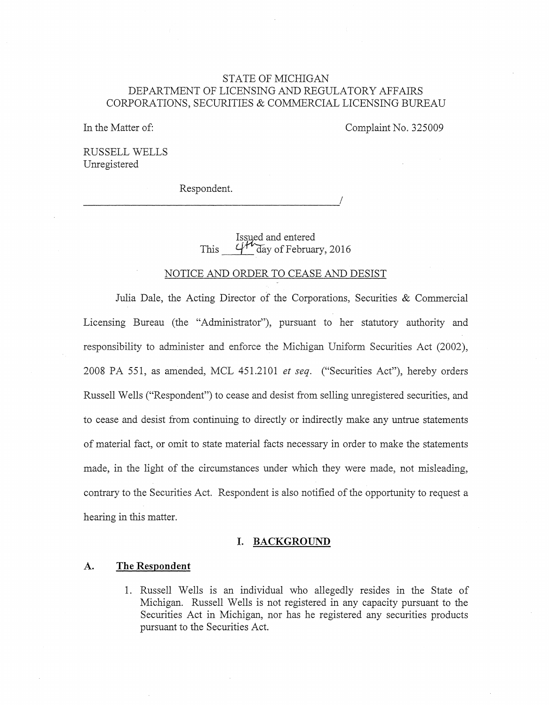### STATE OF MICHIGAN DEPARTMENT OF LICENSING AND REGULATORY AFFAIRS CORPORATIONS, SECURITIES & COMMERCIAL LICENSING BUREAU

In the Matter of:

Complaint No. 325009

RUSSELL WELLS Umegistered

Respondent. \_\_\_\_\_\_\_\_\_\_\_\_\_\_\_\_\_\_\_\_\_\_\_\_\_\_\_\_\_\_\_\_\_\_\_\_\_\_\_\_\_\_\_ ./

This Issued and entered  $44\pi$  day of February, 2016

#### NOTICE AND ORDER TO CEASE AND DESIST

Julia Dale, the Acting Director of the Corporations, Securities  $&$  Commercial Licensing Bureau (the "Administrator"), pursuant to her statutory authority and responsibility to administer and enforce the Michigan Uniform Securities Act (2002), 2008 PA 551, as amended, MCL 451.2101 *et seq.* ("Securities Act"), hereby orders Russell Wells ("Respondent") to cease and desist from selling unregistered securities, and to cease and desist from continuing to directly or indirectly make any untrue statements of material fact, or omit to state material facts necessary in order to make the statements made, in the light of the circumstances under which they were made, not misleading, contrary to the Securities Act. Respondent is also notified of the opportunity to request a hearing in this matter.

### **I. BACKGROUND**

#### **A. The Respondent**

1. Russell Wells is an individual who allegedly resides in the State of Michigan. Russell Wells is not registered in any capacity pursuant to the Securities Act in Michigan, nor has he registered any securities products pursuant to the Securities Act.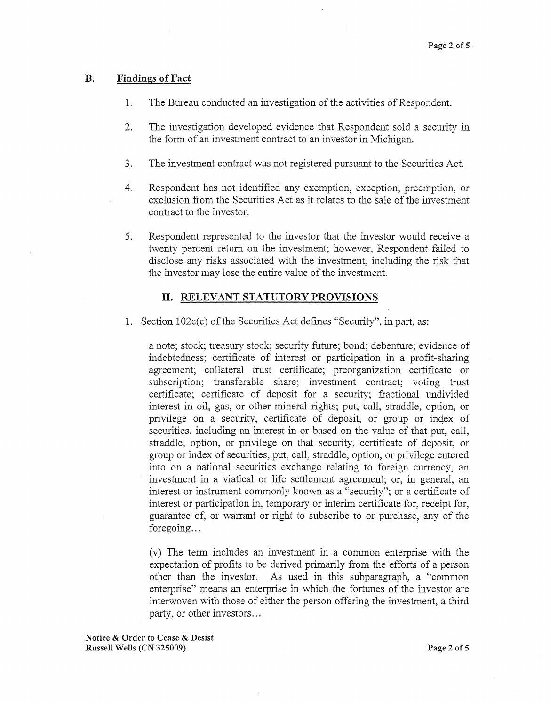#### B. Findings of Fact

- 1. The Bureau conducted an investigation of the activities of Respondent.
- 2. The investigation developed evidence that Respondent sold a security in the form of an investment contract to an investor in Michigan.
- 3. The investment contract was not registered pursuant to the Securities Act.
- 4. Respondent has not identified any exemption, exception, preemption, or exclusion from the Securities Act as it relates to the sale of the investment contract to the investor.
- 5. Respondent represented to the investor that the investor would receive a twenty percent return on the investment; however, Respondent failed to disclose any risks associated with the investment, including the risk that the investor may lose the entire value of the investment.

### II. RELEVANT STATUTORY PROVISIONS

1. Section 102c(c) of the Securities Act defines "Security", in part, as:

a note; stock; treasury stock; security future; bond; debenture; evidence of indebtedness; certificate of interest or participation in a profit-sharing agreement; collateral trust certificate; preorganization certificate or subscription; transferable share; investment contract; voting trust certificate; certificate of deposit for a security; fractional undivided interest in oil, gas, or other mineral rights; put, call, straddle, option, or privilege on a security, certificate of deposit, or group or index of securities, including an interest in or based on the value of that put, call, straddle, option, or privilege on that security, certificate of deposit, or group or index of securities, put, call, straddle, option, or privilege entered into on a national securities exchange relating to foreign currency, a\_n investment in a viatical or life settlement agreement; or, in general, an interest or instrument commonly known as a "security"; or a certificate of interest or participation in, temporary or interim certificate for, receipt for, guarantee of, or warrant or right to subscribe to or purchase, any of the foregoing...

(v) The term includes an investment in a common enterprise with the expectation of profits to be derived primarily from the efforts of a person other than the investor. As used in this subparagraph, a "common enterprise" means an enterprise in which the fortunes of the investor are interwoven with those of either the person offering the investment, a third party, or other investors ...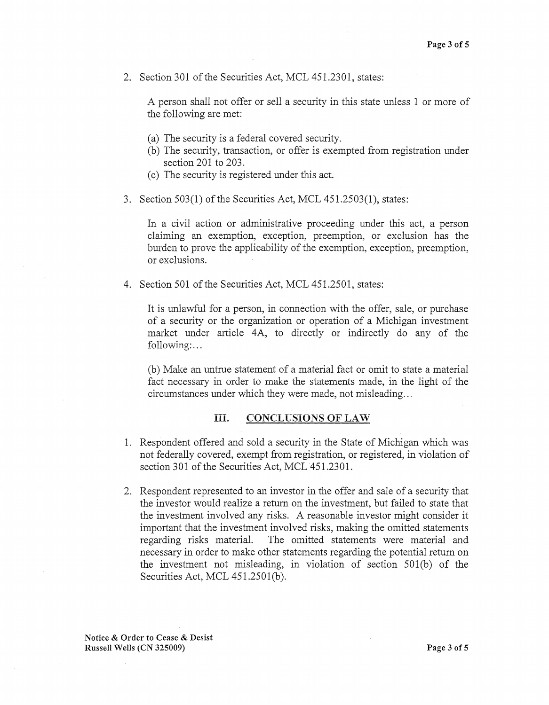2. Section 301 of the Securities Act, MCL 451.2301, states:

A person shall not offer or sell a security in this state unless 1 or more of the following are met

- (a) The security is a federal covered security.
- (b) The security, transaction, or offer is exempted from registration under section 201 to 203.
- (c) The security is registered under this act.
- 3. Section  $503(1)$  of the Securities Act, MCL  $451.2503(1)$ , states:

In a civil action or administrative proceeding under this act, a person claiming an exemption, exception, preemption, or exclusion has the burden to prove the applicability of the exemption, exception, preemption, or exclusions.

4. Section 501 of the Securities Act, MCL 451.2501, states:

It is unlawful for a person, in connection with the offer, sale, or purchase of a security or the organization or operation of a Michigan investment market under article 4A, to directly or indirectly do any of the following:...

(b) Make an untrue statement of a material fact or omit to state a material fact necessary in order to make the statements made, in the light of the circumstances under which they were made, not misleading ...

#### III. CONCLUSIONS OF LAW

- 1. Respondent offered and sold a security in the State of Michigan which was not federally covered, exempt from registration, or registered, in violation of section 301 of the Securities Act, MCL 451.2301.
- 2. Respondent represented to an investor in the offer and sale of a security that the investor would realize a return on the investment, but failed to state that the investment involved any risks. A reasonable investor might consider it important that the investment involved risks, making the omitted statements regarding risks material. The omitted statements were material and necessary in order to make other statements regarding the potential return on the investment not misleading, in violation of section  $501(b)$  of the Securities Act, MCL 451.2501(b).

Notice & Order to Cease & Desist Russell Wells (CN 325009) Page 3 of 5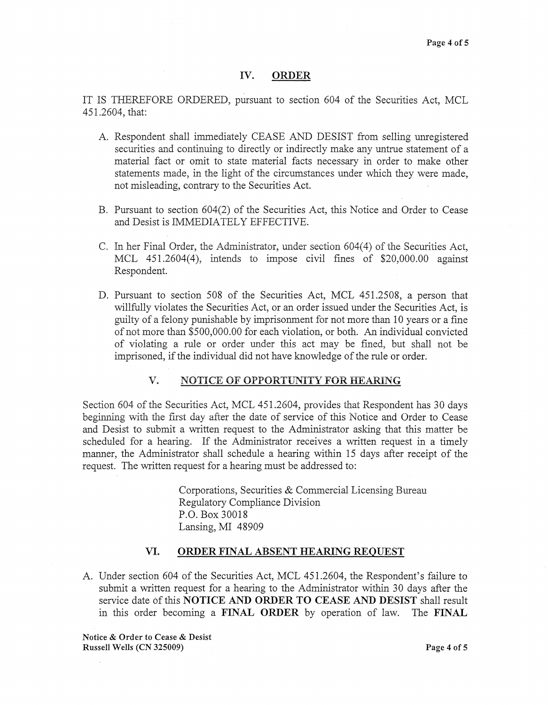### IV. ORDER

IT IS THEREFORE ORDERED, pursuant to section 604 of the Securities Act, MCL 451.2604, that:

- A. Respondent shall immediately CEASE AND DESIST from selling unregistered securities and continuing to directly or indirectly make any untrue statement of a material fact or omit to state material facts necessary in order to make other statements made, in the light of the circumstances under which they were made, not misleading, contrary to the Securities Act.
- B. Pursuant to section 604(2) of the Securities Act, this Notice and Order to Cease and Desist is IMMEDIATELY EFFECTIVE.
- C. In her Final Order, the Administrator, under section 604(4) of the Securities Act, MCL 45L2604(4), intends to impose civil fines of \$20,000.00 against Respondent.
- D. Pursuant to section 508 of the Securities Act, MCL 451.2508, a person that willfully violates the Securities Act, or an order issued under the Securities Act, is guilty of a felony punishable by imprisonment for not more than 10 years or a fme of not more than \$500,000.00 for each violation, or both. An individual convicted of violating a rule or order under this act may be fined, but shall not be imprisoned, if the individual did not have knowledge of the rule or order.

### V. NOTICE OF OPPORTUNITY FOR HEARING

Section 604 of the Securities Act, MCL 451.2604, provides that Respondent has 30 days beginning with the first day after the date of service of this Notice and Order to Cease and Desist to submit a written request to the Administrator asking that this matter be scheduled for a hearing. If the Administrator receives a written request in a timely manner, the Administrator shall schedule a hearing within 15 days after receipt of the request. The written request for a hearing must be addressed to:

> Corporations, Securities & Commercial Licensing Bureau Regulatory Compliance Division P.O. Box 30018 Lansing, MI 48909

### VI. ORDER FINAL ABSENT HEARING REQUEST

A. Under section 604 of the Securities Act, MCL 451.2604, the Respondent's failure to submit a written request for a hearing to the Administrator within 30 days after the service date of this NOTICE AND ORDER TO CEASE AND DESIST shall result in this order becoming a FINAL ORDER by operation of law. The FINAL

Notice & Order to Cease & Desist Russell Wells (CN 325009) Page 4 of 5